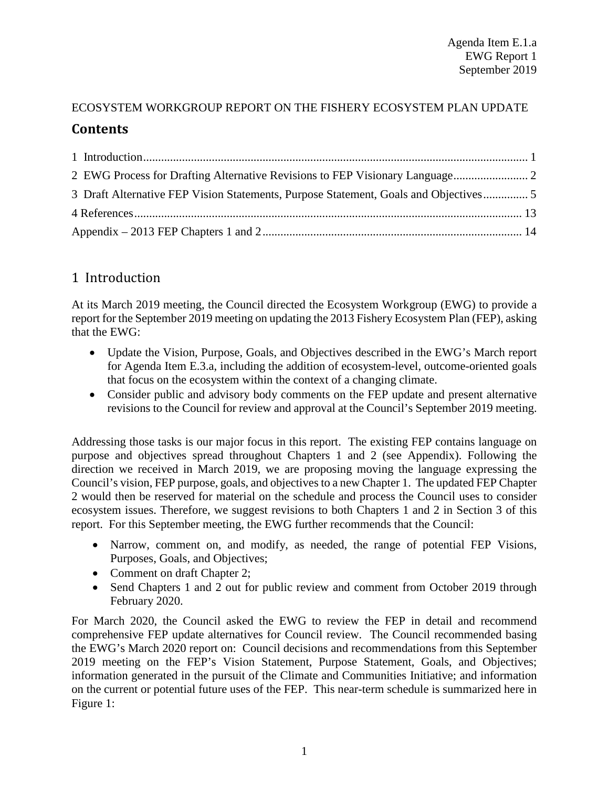# ECOSYSTEM WORKGROUP REPORT ON THE FISHERY ECOSYSTEM PLAN UPDATE **Contents**

| 3 Draft Alternative FEP Vision Statements, Purpose Statement, Goals and Objectives |  |
|------------------------------------------------------------------------------------|--|
|                                                                                    |  |
|                                                                                    |  |

# <span id="page-0-0"></span>1 Introduction

At its March 2019 meeting, the Council directed the Ecosystem Workgroup (EWG) to provide a report for the September 2019 meeting on updating the 2013 Fishery Ecosystem Plan (FEP), asking that the EWG:

- Update the Vision, Purpose, Goals, and Objectives described in the EWG's March report for Agenda Item E.3.a, including the addition of ecosystem-level, outcome-oriented goals that focus on the ecosystem within the context of a changing climate.
- Consider public and advisory body comments on the FEP update and present alternative revisions to the Council for review and approval at the Council's September 2019 meeting.

Addressing those tasks is our major focus in this report. The existing FEP contains language on purpose and objectives spread throughout Chapters 1 and 2 (see Appendix). Following the direction we received in March 2019, we are proposing moving the language expressing the Council's vision, FEP purpose, goals, and objectives to a new Chapter 1. The updated FEP Chapter 2 would then be reserved for material on the schedule and process the Council uses to consider ecosystem issues. Therefore, we suggest revisions to both Chapters 1 and 2 in Section 3 of this report. For this September meeting, the EWG further recommends that the Council:

- Narrow, comment on, and modify, as needed, the range of potential FEP Visions, Purposes, Goals, and Objectives;
- Comment on draft Chapter 2;
- Send Chapters 1 and 2 out for public review and comment from October 2019 through February 2020.

For March 2020, the Council asked the EWG to review the FEP in detail and recommend comprehensive FEP update alternatives for Council review. The Council recommended basing the EWG's March 2020 report on: Council decisions and recommendations from this September 2019 meeting on the FEP's Vision Statement, Purpose Statement, Goals, and Objectives; information generated in the pursuit of the Climate and Communities Initiative; and information on the current or potential future uses of the FEP. This near-term schedule is summarized here in Figure 1: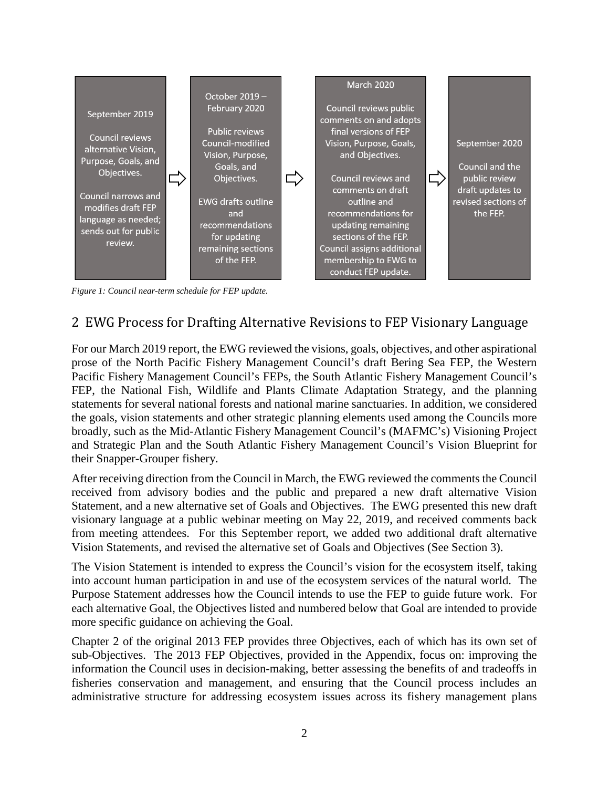

*Figure 1: Council near-term schedule for FEP update.*

## <span id="page-1-0"></span>2 EWG Process for Drafting Alternative Revisions to FEP Visionary Language

For our March 2019 report, the EWG reviewed the visions, goals, objectives, and other aspirational prose of the North Pacific Fishery Management Council's draft Bering Sea FEP, the Western Pacific Fishery Management Council's FEPs, the South Atlantic Fishery Management Council's FEP, the National Fish, Wildlife and Plants Climate Adaptation Strategy, and the planning statements for several national forests and national marine sanctuaries. In addition, we considered the goals, vision statements and other strategic planning elements used among the Councils more broadly, such as the Mid-Atlantic Fishery Management Council's (MAFMC's) Visioning Project and Strategic Plan and the South Atlantic Fishery Management Council's Vision Blueprint for their Snapper-Grouper fishery.

After receiving direction from the Council in March, the EWG reviewed the comments the Council received from advisory bodies and the public and prepared a new draft alternative Vision Statement, and a new alternative set of Goals and Objectives. The EWG presented this new draft visionary language at a public webinar meeting on May 22, 2019, and received comments back from meeting attendees. For this September report, we added two additional draft alternative Vision Statements, and revised the alternative set of Goals and Objectives (See Section 3).

The Vision Statement is intended to express the Council's vision for the ecosystem itself, taking into account human participation in and use of the ecosystem services of the natural world. The Purpose Statement addresses how the Council intends to use the FEP to guide future work. For each alternative Goal, the Objectives listed and numbered below that Goal are intended to provide more specific guidance on achieving the Goal.

Chapter 2 of the original 2013 FEP provides three Objectives, each of which has its own set of sub-Objectives. The 2013 FEP Objectives, provided in the Appendix, focus on: improving the information the Council uses in decision-making, better assessing the benefits of and tradeoffs in fisheries conservation and management, and ensuring that the Council process includes an administrative structure for addressing ecosystem issues across its fishery management plans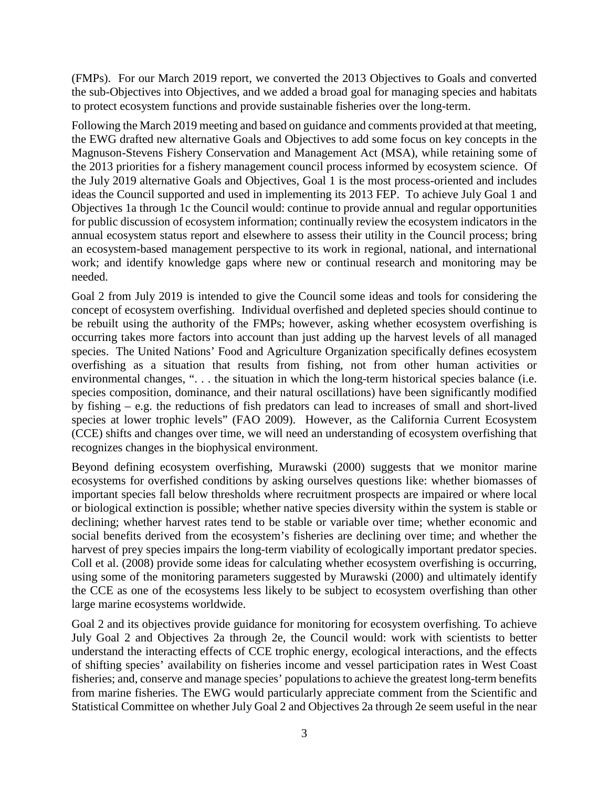(FMPs). For our March 2019 report, we converted the 2013 Objectives to Goals and converted the sub-Objectives into Objectives, and we added a broad goal for managing species and habitats to protect ecosystem functions and provide sustainable fisheries over the long-term.

Following the March 2019 meeting and based on guidance and comments provided at that meeting, the EWG drafted new alternative Goals and Objectives to add some focus on key concepts in the Magnuson-Stevens Fishery Conservation and Management Act (MSA), while retaining some of the 2013 priorities for a fishery management council process informed by ecosystem science. Of the July 2019 alternative Goals and Objectives, Goal 1 is the most process-oriented and includes ideas the Council supported and used in implementing its 2013 FEP. To achieve July Goal 1 and Objectives 1a through 1c the Council would: continue to provide annual and regular opportunities for public discussion of ecosystem information; continually review the ecosystem indicators in the annual ecosystem status report and elsewhere to assess their utility in the Council process; bring an ecosystem-based management perspective to its work in regional, national, and international work; and identify knowledge gaps where new or continual research and monitoring may be needed.

Goal 2 from July 2019 is intended to give the Council some ideas and tools for considering the concept of ecosystem overfishing. Individual overfished and depleted species should continue to be rebuilt using the authority of the FMPs; however, asking whether ecosystem overfishing is occurring takes more factors into account than just adding up the harvest levels of all managed species. The United Nations' Food and Agriculture Organization specifically defines ecosystem overfishing as a situation that results from fishing, not from other human activities or environmental changes, "... the situation in which the long-term historical species balance (i.e. species composition, dominance, and their natural oscillations) have been significantly modified by fishing – e.g. the reductions of fish predators can lead to increases of small and short-lived species at lower trophic levels" (FAO 2009). However, as the California Current Ecosystem (CCE) shifts and changes over time, we will need an understanding of ecosystem overfishing that recognizes changes in the biophysical environment.

Beyond defining ecosystem overfishing, Murawski (2000) suggests that we monitor marine ecosystems for overfished conditions by asking ourselves questions like: whether biomasses of important species fall below thresholds where recruitment prospects are impaired or where local or biological extinction is possible; whether native species diversity within the system is stable or declining; whether harvest rates tend to be stable or variable over time; whether economic and social benefits derived from the ecosystem's fisheries are declining over time; and whether the harvest of prey species impairs the long-term viability of ecologically important predator species. Coll et al. (2008) provide some ideas for calculating whether ecosystem overfishing is occurring, using some of the monitoring parameters suggested by Murawski (2000) and ultimately identify the CCE as one of the ecosystems less likely to be subject to ecosystem overfishing than other large marine ecosystems worldwide.

Goal 2 and its objectives provide guidance for monitoring for ecosystem overfishing. To achieve July Goal 2 and Objectives 2a through 2e, the Council would: work with scientists to better understand the interacting effects of CCE trophic energy, ecological interactions, and the effects of shifting species' availability on fisheries income and vessel participation rates in West Coast fisheries; and, conserve and manage species' populations to achieve the greatest long-term benefits from marine fisheries. The EWG would particularly appreciate comment from the Scientific and Statistical Committee on whether July Goal 2 and Objectives 2a through 2e seem useful in the near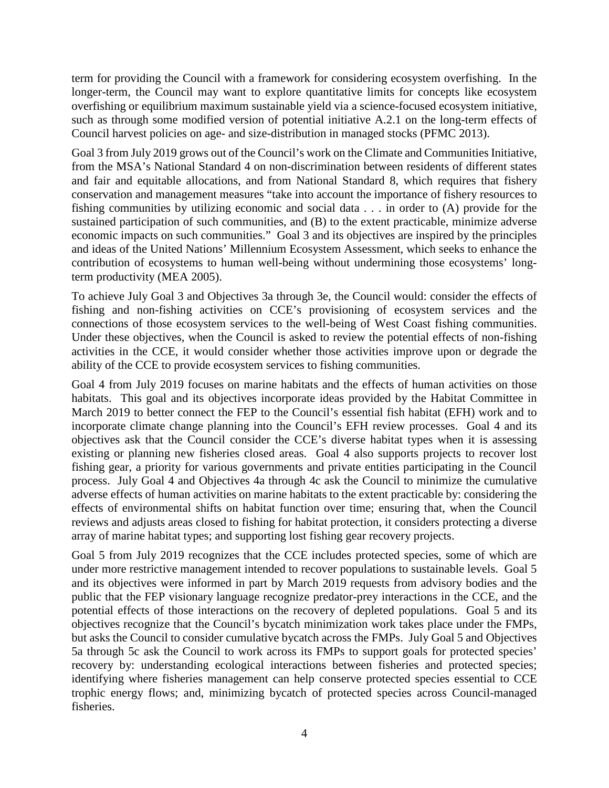term for providing the Council with a framework for considering ecosystem overfishing. In the longer-term, the Council may want to explore quantitative limits for concepts like ecosystem overfishing or equilibrium maximum sustainable yield via a science-focused ecosystem initiative, such as through some modified version of potential initiative A.2.1 on the long-term effects of Council harvest policies on age- and size-distribution in managed stocks (PFMC 2013).

Goal 3 from July 2019 grows out of the Council's work on the Climate and Communities Initiative, from the MSA's National Standard 4 on non-discrimination between residents of different states and fair and equitable allocations, and from National Standard 8, which requires that fishery conservation and management measures "take into account the importance of fishery resources to fishing communities by utilizing economic and social data . . . in order to (A) provide for the sustained participation of such communities, and (B) to the extent practicable, minimize adverse economic impacts on such communities." Goal 3 and its objectives are inspired by the principles and ideas of the United Nations' Millennium Ecosystem Assessment, which seeks to enhance the contribution of ecosystems to human well-being without undermining those ecosystems' longterm productivity (MEA 2005).

To achieve July Goal 3 and Objectives 3a through 3e, the Council would: consider the effects of fishing and non-fishing activities on CCE's provisioning of ecosystem services and the connections of those ecosystem services to the well-being of West Coast fishing communities. Under these objectives, when the Council is asked to review the potential effects of non-fishing activities in the CCE, it would consider whether those activities improve upon or degrade the ability of the CCE to provide ecosystem services to fishing communities.

Goal 4 from July 2019 focuses on marine habitats and the effects of human activities on those habitats. This goal and its objectives incorporate ideas provided by the Habitat Committee in March 2019 to better connect the FEP to the Council's essential fish habitat (EFH) work and to incorporate climate change planning into the Council's EFH review processes. Goal 4 and its objectives ask that the Council consider the CCE's diverse habitat types when it is assessing existing or planning new fisheries closed areas. Goal 4 also supports projects to recover lost fishing gear, a priority for various governments and private entities participating in the Council process. July Goal 4 and Objectives 4a through 4c ask the Council to minimize the cumulative adverse effects of human activities on marine habitats to the extent practicable by: considering the effects of environmental shifts on habitat function over time; ensuring that, when the Council reviews and adjusts areas closed to fishing for habitat protection, it considers protecting a diverse array of marine habitat types; and supporting lost fishing gear recovery projects.

Goal 5 from July 2019 recognizes that the CCE includes protected species, some of which are under more restrictive management intended to recover populations to sustainable levels. Goal 5 and its objectives were informed in part by March 2019 requests from advisory bodies and the public that the FEP visionary language recognize predator-prey interactions in the CCE, and the potential effects of those interactions on the recovery of depleted populations. Goal 5 and its objectives recognize that the Council's bycatch minimization work takes place under the FMPs, but asks the Council to consider cumulative bycatch across the FMPs. July Goal 5 and Objectives 5a through 5c ask the Council to work across its FMPs to support goals for protected species' recovery by: understanding ecological interactions between fisheries and protected species; identifying where fisheries management can help conserve protected species essential to CCE trophic energy flows; and, minimizing bycatch of protected species across Council-managed fisheries.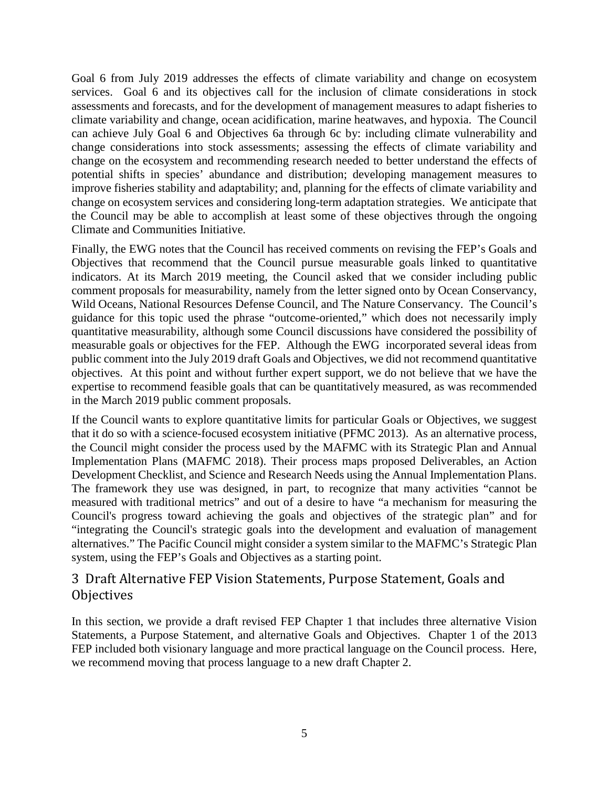Goal 6 from July 2019 addresses the effects of climate variability and change on ecosystem services. Goal 6 and its objectives call for the inclusion of climate considerations in stock assessments and forecasts, and for the development of management measures to adapt fisheries to climate variability and change, ocean acidification, marine heatwaves, and hypoxia. The Council can achieve July Goal 6 and Objectives 6a through 6c by: including climate vulnerability and change considerations into stock assessments; assessing the effects of climate variability and change on the ecosystem and recommending research needed to better understand the effects of potential shifts in species' abundance and distribution; developing management measures to improve fisheries stability and adaptability; and, planning for the effects of climate variability and change on ecosystem services and considering long-term adaptation strategies. We anticipate that the Council may be able to accomplish at least some of these objectives through the ongoing Climate and Communities Initiative.

Finally, the EWG notes that the Council has received comments on revising the FEP's Goals and Objectives that recommend that the Council pursue measurable goals linked to quantitative indicators. At its March 2019 meeting, the Council asked that we consider including public comment proposals for measurability, namely from the letter signed onto by Ocean Conservancy, Wild Oceans, National Resources Defense Council, and The Nature Conservancy. The Council's guidance for this topic used the phrase "outcome-oriented," which does not necessarily imply quantitative measurability, although some Council discussions have considered the possibility of measurable goals or objectives for the FEP. Although the EWG incorporated several ideas from public comment into the July 2019 draft Goals and Objectives, we did not recommend quantitative objectives. At this point and without further expert support, we do not believe that we have the expertise to recommend feasible goals that can be quantitatively measured, as was recommended in the March 2019 public comment proposals.

If the Council wants to explore quantitative limits for particular Goals or Objectives, we suggest that it do so with a science-focused ecosystem initiative (PFMC 2013). As an alternative process, the Council might consider the process used by the MAFMC with its Strategic Plan and Annual Implementation Plans (MAFMC 2018). Their process maps proposed Deliverables, an Action Development Checklist, and Science and Research Needs using the Annual Implementation Plans. The framework they use was designed, in part, to recognize that many activities "cannot be measured with traditional metrics" and out of a desire to have "a mechanism for measuring the Council's progress toward achieving the goals and objectives of the strategic plan" and for "integrating the Council's strategic goals into the development and evaluation of management alternatives." The Pacific Council might consider a system similar to the MAFMC's Strategic Plan system, using the FEP's Goals and Objectives as a starting point.

### <span id="page-4-0"></span>3 Draft Alternative FEP Vision Statements, Purpose Statement, Goals and **Objectives**

In this section, we provide a draft revised FEP Chapter 1 that includes three alternative Vision Statements, a Purpose Statement, and alternative Goals and Objectives. Chapter 1 of the 2013 FEP included both visionary language and more practical language on the Council process. Here, we recommend moving that process language to a new draft Chapter 2.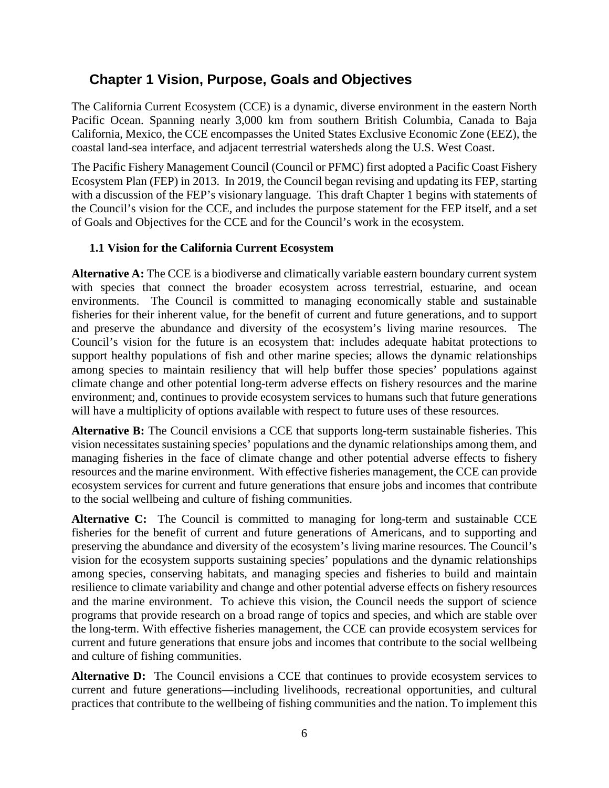# **Chapter 1 Vision, Purpose, Goals and Objectives**

The California Current Ecosystem (CCE) is a dynamic, diverse environment in the eastern North Pacific Ocean. Spanning nearly 3,000 km from southern British Columbia, Canada to Baja California, Mexico, the CCE encompasses the United States Exclusive Economic Zone (EEZ), the coastal land-sea interface, and adjacent terrestrial watersheds along the U.S. West Coast.

The Pacific Fishery Management Council (Council or PFMC) first adopted a Pacific Coast Fishery Ecosystem Plan (FEP) in 2013. In 2019, the Council began revising and updating its FEP, starting with a discussion of the FEP's visionary language. This draft Chapter 1 begins with statements of the Council's vision for the CCE, and includes the purpose statement for the FEP itself, and a set of Goals and Objectives for the CCE and for the Council's work in the ecosystem.

#### **1.1 Vision for the California Current Ecosystem**

**Alternative A:** The CCE is a biodiverse and climatically variable eastern boundary current system with species that connect the broader ecosystem across terrestrial, estuarine, and ocean environments. The Council is committed to managing economically stable and sustainable fisheries for their inherent value, for the benefit of current and future generations, and to support and preserve the abundance and diversity of the ecosystem's living marine resources. The Council's vision for the future is an ecosystem that: includes adequate habitat protections to support healthy populations of fish and other marine species; allows the dynamic relationships among species to maintain resiliency that will help buffer those species' populations against climate change and other potential long-term adverse effects on fishery resources and the marine environment; and, continues to provide ecosystem services to humans such that future generations will have a multiplicity of options available with respect to future uses of these resources.

**Alternative B:** The Council envisions a CCE that supports long-term sustainable fisheries. This vision necessitates sustaining species' populations and the dynamic relationships among them, and managing fisheries in the face of climate change and other potential adverse effects to fishery resources and the marine environment. With effective fisheries management, the CCE can provide ecosystem services for current and future generations that ensure jobs and incomes that contribute to the social wellbeing and culture of fishing communities.

Alternative C: The Council is committed to managing for long-term and sustainable CCE fisheries for the benefit of current and future generations of Americans, and to supporting and preserving the abundance and diversity of the ecosystem's living marine resources. The Council's vision for the ecosystem supports sustaining species' populations and the dynamic relationships among species, conserving habitats, and managing species and fisheries to build and maintain resilience to climate variability and change and other potential adverse effects on fishery resources and the marine environment. To achieve this vision, the Council needs the support of science programs that provide research on a broad range of topics and species, and which are stable over the long-term. With effective fisheries management, the CCE can provide ecosystem services for current and future generations that ensure jobs and incomes that contribute to the social wellbeing and culture of fishing communities.

**Alternative D:** The Council envisions a CCE that continues to provide ecosystem services to current and future generations—including livelihoods, recreational opportunities, and cultural practices that contribute to the wellbeing of fishing communities and the nation. To implement this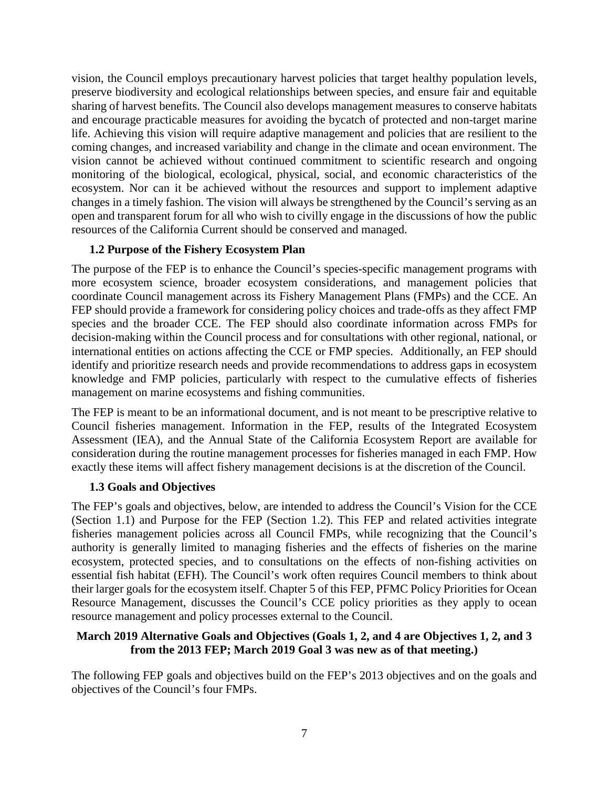vision, the Council employs precautionary harvest policies that target healthy population levels, preserve biodiversity and ecological relationships between species, and ensure fair and equitable sharing of harvest benefits. The Council also develops management measures to conserve habitats and encourage practicable measures for avoiding the bycatch of protected and non-target marine life. Achieving this vision will require adaptive management and policies that are resilient to the coming changes, and increased variability and change in the climate and ocean environment. The vision cannot be achieved without continued commitment to scientific research and ongoing monitoring of the biological, ecological, physical, social, and economic characteristics of the ecosystem. Nor can it be achieved without the resources and support to implement adaptive changes in a timely fashion. The vision will always be strengthened by the Council's serving as an open and transparent forum for all who wish to civilly engage in the discussions of how the public resources of the California Current should be conserved and managed.

#### **1.2 Purpose of the Fishery Ecosystem Plan**

The purpose of the FEP is to enhance the Council's species-specific management programs with more ecosystem science, broader ecosystem considerations, and management policies that coordinate Council management across its Fishery Management Plans (FMPs) and the CCE. An FEP should provide a framework for considering policy choices and trade-offs as they affect FMP species and the broader CCE. The FEP should also coordinate information across FMPs for decision-making within the Council process and for consultations with other regional, national, or international entities on actions affecting the CCE or FMP species. Additionally, an FEP should identify and prioritize research needs and provide recommendations to address gaps in ecosystem knowledge and FMP policies, particularly with respect to the cumulative effects of fisheries management on marine ecosystems and fishing communities.

The FEP is meant to be an informational document, and is not meant to be prescriptive relative to Council fisheries management. Information in the FEP, results of the Integrated Ecosystem Assessment (IEA), and the Annual State of the California Ecosystem Report are available for consideration during the routine management processes for fisheries managed in each FMP. How exactly these items will affect fishery management decisions is at the discretion of the Council.

#### **1.3 Goals and Objectives**

The FEP's goals and objectives, below, are intended to address the Council's Vision for the CCE (Section 1.1) and Purpose for the FEP (Section 1.2). This FEP and related activities integrate fisheries management policies across all Council FMPs, while recognizing that the Council's authority is generally limited to managing fisheries and the effects of fisheries on the marine ecosystem, protected species, and to consultations on the effects of non-fishing activities on essential fish habitat (EFH). The Council's work often requires Council members to think about their larger goals for the ecosystem itself. Chapter 5 of this FEP, PFMC Policy Priorities for Ocean Resource Management, discusses the Council's CCE policy priorities as they apply to ocean resource management and policy processes external to the Council.

#### **March 2019 Alternative Goals and Objectives (Goals 1, 2, and 4 are Objectives 1, 2, and 3 from the 2013 FEP; March 2019 Goal 3 was new as of that meeting.)**

The following FEP goals and objectives build on the FEP's 2013 objectives and on the goals and objectives of the Council's four FMPs.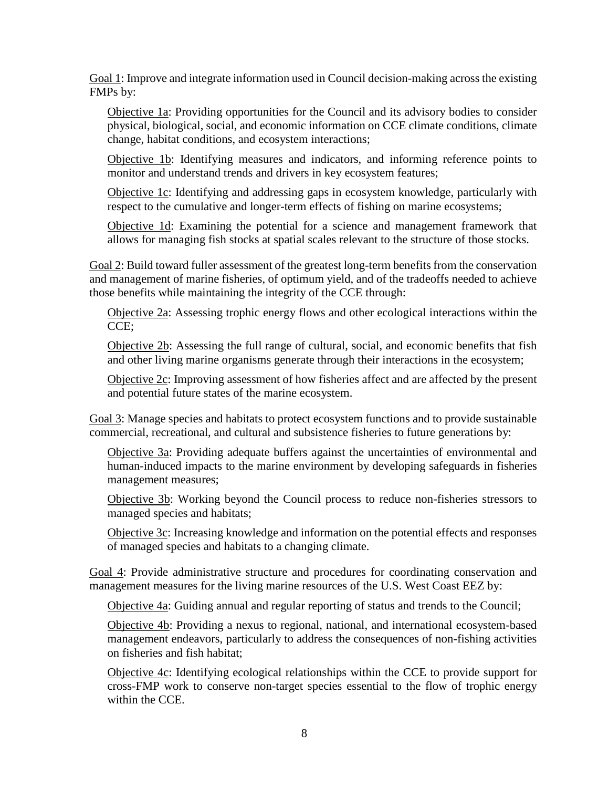Goal 1: Improve and integrate information used in Council decision-making across the existing FMPs by:

Objective 1a: Providing opportunities for the Council and its advisory bodies to consider physical, biological, social, and economic information on CCE climate conditions, climate change, habitat conditions, and ecosystem interactions;

Objective 1b: Identifying measures and indicators, and informing reference points to monitor and understand trends and drivers in key ecosystem features;

Objective 1c: Identifying and addressing gaps in ecosystem knowledge, particularly with respect to the cumulative and longer-term effects of fishing on marine ecosystems;

Objective 1d: Examining the potential for a science and management framework that allows for managing fish stocks at spatial scales relevant to the structure of those stocks.

Goal 2: Build toward fuller assessment of the greatest long-term benefits from the conservation and management of marine fisheries, of optimum yield, and of the tradeoffs needed to achieve those benefits while maintaining the integrity of the CCE through:

Objective 2a: Assessing trophic energy flows and other ecological interactions within the CCE;

Objective 2b: Assessing the full range of cultural, social, and economic benefits that fish and other living marine organisms generate through their interactions in the ecosystem;

Objective 2c: Improving assessment of how fisheries affect and are affected by the present and potential future states of the marine ecosystem.

Goal 3: Manage species and habitats to protect ecosystem functions and to provide sustainable commercial, recreational, and cultural and subsistence fisheries to future generations by:

Objective 3a: Providing adequate buffers against the uncertainties of environmental and human-induced impacts to the marine environment by developing safeguards in fisheries management measures;

Objective 3b: Working beyond the Council process to reduce non-fisheries stressors to managed species and habitats;

Objective 3c: Increasing knowledge and information on the potential effects and responses of managed species and habitats to a changing climate.

Goal 4: Provide administrative structure and procedures for coordinating conservation and management measures for the living marine resources of the U.S. West Coast EEZ by:

Objective 4a: Guiding annual and regular reporting of status and trends to the Council;

Objective 4b: Providing a nexus to regional, national, and international ecosystem-based management endeavors, particularly to address the consequences of non-fishing activities on fisheries and fish habitat;

Objective 4c: Identifying ecological relationships within the CCE to provide support for cross-FMP work to conserve non-target species essential to the flow of trophic energy within the CCE.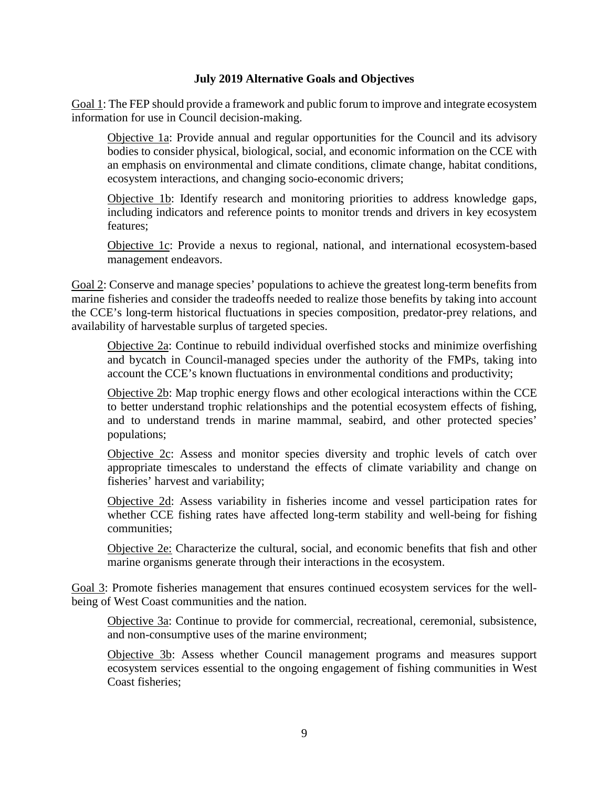#### **July 2019 Alternative Goals and Objectives**

Goal 1: The FEP should provide a framework and public forum to improve and integrate ecosystem information for use in Council decision-making.

Objective 1a: Provide annual and regular opportunities for the Council and its advisory bodies to consider physical, biological, social, and economic information on the CCE with an emphasis on environmental and climate conditions, climate change, habitat conditions, ecosystem interactions, and changing socio-economic drivers;

Objective 1b: Identify research and monitoring priorities to address knowledge gaps, including indicators and reference points to monitor trends and drivers in key ecosystem features;

Objective 1c: Provide a nexus to regional, national, and international ecosystem-based management endeavors.

Goal 2: Conserve and manage species' populations to achieve the greatest long-term benefits from marine fisheries and consider the tradeoffs needed to realize those benefits by taking into account the CCE's long-term historical fluctuations in species composition, predator-prey relations, and availability of harvestable surplus of targeted species.

Objective 2a: Continue to rebuild individual overfished stocks and minimize overfishing and bycatch in Council-managed species under the authority of the FMPs, taking into account the CCE's known fluctuations in environmental conditions and productivity;

Objective 2b: Map trophic energy flows and other ecological interactions within the CCE to better understand trophic relationships and the potential ecosystem effects of fishing, and to understand trends in marine mammal, seabird, and other protected species' populations;

Objective 2c: Assess and monitor species diversity and trophic levels of catch over appropriate timescales to understand the effects of climate variability and change on fisheries' harvest and variability;

Objective 2d: Assess variability in fisheries income and vessel participation rates for whether CCE fishing rates have affected long-term stability and well-being for fishing communities;

Objective 2e: Characterize the cultural, social, and economic benefits that fish and other marine organisms generate through their interactions in the ecosystem.

Goal 3: Promote fisheries management that ensures continued ecosystem services for the wellbeing of West Coast communities and the nation.

Objective 3a: Continue to provide for commercial, recreational, ceremonial, subsistence, and non-consumptive uses of the marine environment;

Objective 3b: Assess whether Council management programs and measures support ecosystem services essential to the ongoing engagement of fishing communities in West Coast fisheries;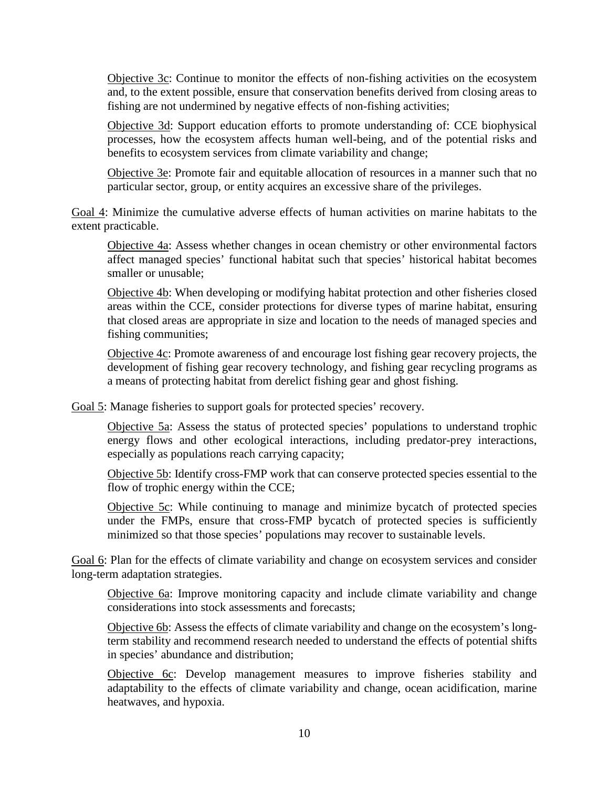Objective 3c: Continue to monitor the effects of non-fishing activities on the ecosystem and, to the extent possible, ensure that conservation benefits derived from closing areas to fishing are not undermined by negative effects of non-fishing activities;

Objective 3d: Support education efforts to promote understanding of: CCE biophysical processes, how the ecosystem affects human well-being, and of the potential risks and benefits to ecosystem services from climate variability and change;

Objective 3e: Promote fair and equitable allocation of resources in a manner such that no particular sector, group, or entity acquires an excessive share of the privileges.

Goal 4: Minimize the cumulative adverse effects of human activities on marine habitats to the extent practicable.

Objective 4a: Assess whether changes in ocean chemistry or other environmental factors affect managed species' functional habitat such that species' historical habitat becomes smaller or unusable;

Objective 4b: When developing or modifying habitat protection and other fisheries closed areas within the CCE, consider protections for diverse types of marine habitat, ensuring that closed areas are appropriate in size and location to the needs of managed species and fishing communities;

Objective 4c: Promote awareness of and encourage lost fishing gear recovery projects, the development of fishing gear recovery technology, and fishing gear recycling programs as a means of protecting habitat from derelict fishing gear and ghost fishing.

Goal 5: Manage fisheries to support goals for protected species' recovery.

Objective 5a: Assess the status of protected species' populations to understand trophic energy flows and other ecological interactions, including predator-prey interactions, especially as populations reach carrying capacity;

Objective 5b: Identify cross-FMP work that can conserve protected species essential to the flow of trophic energy within the CCE;

Objective 5c: While continuing to manage and minimize bycatch of protected species under the FMPs, ensure that cross-FMP bycatch of protected species is sufficiently minimized so that those species' populations may recover to sustainable levels.

Goal 6: Plan for the effects of climate variability and change on ecosystem services and consider long-term adaptation strategies.

Objective 6a: Improve monitoring capacity and include climate variability and change considerations into stock assessments and forecasts;

Objective 6b: Assess the effects of climate variability and change on the ecosystem's longterm stability and recommend research needed to understand the effects of potential shifts in species' abundance and distribution;

Objective 6c: Develop management measures to improve fisheries stability and adaptability to the effects of climate variability and change, ocean acidification, marine heatwaves, and hypoxia.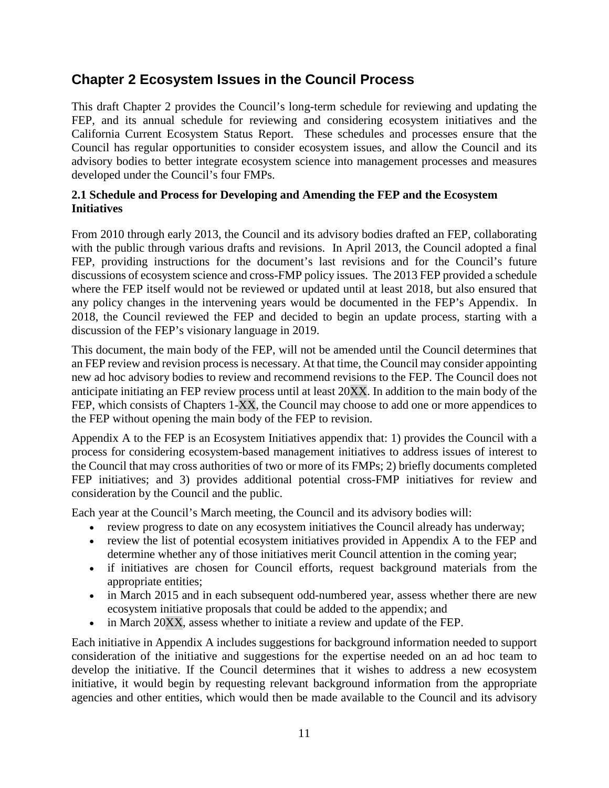# **Chapter 2 Ecosystem Issues in the Council Process**

This draft Chapter 2 provides the Council's long-term schedule for reviewing and updating the FEP, and its annual schedule for reviewing and considering ecosystem initiatives and the California Current Ecosystem Status Report. These schedules and processes ensure that the Council has regular opportunities to consider ecosystem issues, and allow the Council and its advisory bodies to better integrate ecosystem science into management processes and measures developed under the Council's four FMPs.

#### **2.1 Schedule and Process for Developing and Amending the FEP and the Ecosystem Initiatives**

From 2010 through early 2013, the Council and its advisory bodies drafted an FEP, collaborating with the public through various drafts and revisions. In April 2013, the Council adopted a final FEP, providing instructions for the document's last revisions and for the Council's future discussions of ecosystem science and cross-FMP policy issues. The 2013 FEP provided a schedule where the FEP itself would not be reviewed or updated until at least 2018, but also ensured that any policy changes in the intervening years would be documented in the FEP's Appendix. In 2018, the Council reviewed the FEP and decided to begin an update process, starting with a discussion of the FEP's visionary language in 2019.

This document, the main body of the FEP, will not be amended until the Council determines that an FEP review and revision process is necessary. At that time, the Council may consider appointing new ad hoc advisory bodies to review and recommend revisions to the FEP. The Council does not anticipate initiating an FEP review process until at least 20XX. In addition to the main body of the FEP, which consists of Chapters 1-XX, the Council may choose to add one or more appendices to the FEP without opening the main body of the FEP to revision.

Appendix A to the FEP is an Ecosystem Initiatives appendix that: 1) provides the Council with a process for considering ecosystem-based management initiatives to address issues of interest to the Council that may cross authorities of two or more of its FMPs; 2) briefly documents completed FEP initiatives; and 3) provides additional potential cross-FMP initiatives for review and consideration by the Council and the public.

Each year at the Council's March meeting, the Council and its advisory bodies will:

- review progress to date on any ecosystem initiatives the Council already has underway;
- review the list of potential ecosystem initiatives provided in Appendix A to the FEP and determine whether any of those initiatives merit Council attention in the coming year;
- if initiatives are chosen for Council efforts, request background materials from the appropriate entities;
- in March 2015 and in each subsequent odd-numbered year, assess whether there are new ecosystem initiative proposals that could be added to the appendix; and
- in March  $20\overline{XX}$ , assess whether to initiate a review and update of the FEP.

Each initiative in Appendix A includes suggestions for background information needed to support consideration of the initiative and suggestions for the expertise needed on an ad hoc team to develop the initiative. If the Council determines that it wishes to address a new ecosystem initiative, it would begin by requesting relevant background information from the appropriate agencies and other entities, which would then be made available to the Council and its advisory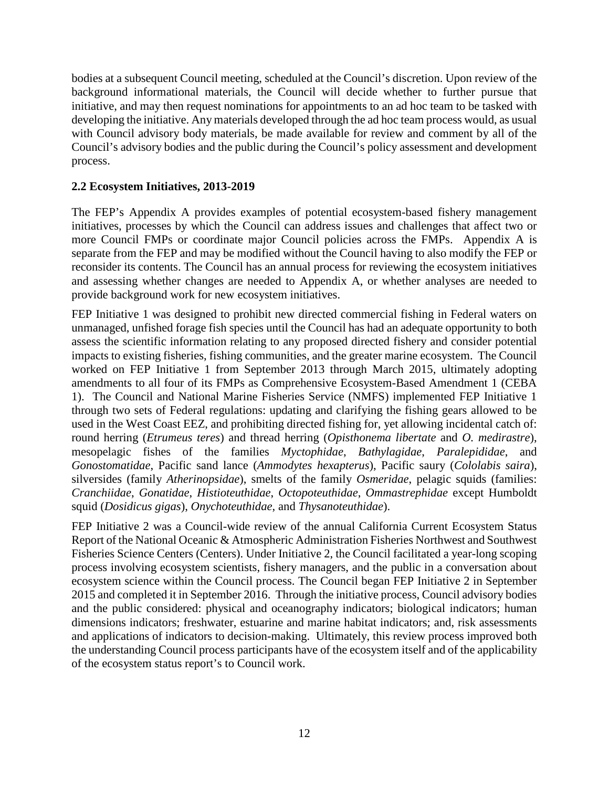bodies at a subsequent Council meeting, scheduled at the Council's discretion. Upon review of the background informational materials, the Council will decide whether to further pursue that initiative, and may then request nominations for appointments to an ad hoc team to be tasked with developing the initiative. Any materials developed through the ad hoc team process would, as usual with Council advisory body materials, be made available for review and comment by all of the Council's advisory bodies and the public during the Council's policy assessment and development process.

#### **2.2 Ecosystem Initiatives, 2013-2019**

The FEP's Appendix A provides examples of potential ecosystem-based fishery management initiatives, processes by which the Council can address issues and challenges that affect two or more Council FMPs or coordinate major Council policies across the FMPs. Appendix A is separate from the FEP and may be modified without the Council having to also modify the FEP or reconsider its contents. The Council has an annual process for reviewing the ecosystem initiatives and assessing whether changes are needed to Appendix A, or whether analyses are needed to provide background work for new ecosystem initiatives.

FEP Initiative 1 was designed to prohibit new directed commercial fishing in Federal waters on unmanaged, unfished forage fish species until the Council has had an adequate opportunity to both assess the scientific information relating to any proposed directed fishery and consider potential impacts to existing fisheries, fishing communities, and the greater marine ecosystem. The Council worked on FEP Initiative 1 from September 2013 through March 2015, ultimately adopting amendments to all four of its FMPs as Comprehensive Ecosystem-Based Amendment 1 (CEBA 1). The Council and National Marine Fisheries Service (NMFS) implemented FEP Initiative 1 through two sets of Federal regulations: updating and clarifying the fishing gears allowed to be used in the West Coast EEZ, and prohibiting directed fishing for, yet allowing incidental catch of: round herring (*Etrumeus teres*) and thread herring (*Opisthonema libertate* and *O. medirastre*), mesopelagic fishes of the families *Myctophidae*, *Bathylagidae*, *Paralepididae*, and *Gonostomatidae*, Pacific sand lance (*Ammodytes hexapterus*), Pacific saury (*Cololabis saira*), silversides (family *Atherinopsidae*), smelts of the family *Osmeridae*, pelagic squids (families: *Cranchiidae*, *Gonatidae*, *Histioteuthidae*, *Octopoteuthidae*, *Ommastrephidae* except Humboldt squid (*Dosidicus gigas*), *Onychoteuthidae*, and *Thysanoteuthidae*).

FEP Initiative 2 was a Council-wide review of the annual California Current Ecosystem Status Report of the National Oceanic & Atmospheric Administration Fisheries Northwest and Southwest Fisheries Science Centers (Centers). Under Initiative 2, the Council facilitated a year-long scoping process involving ecosystem scientists, fishery managers, and the public in a conversation about ecosystem science within the Council process. The Council began FEP Initiative 2 in September 2015 and completed it in September 2016. Through the initiative process, Council advisory bodies and the public considered: physical and oceanography indicators; biological indicators; human dimensions indicators; freshwater, estuarine and marine habitat indicators; and, risk assessments and applications of indicators to decision-making. Ultimately, this review process improved both the understanding Council process participants have of the ecosystem itself and of the applicability of the ecosystem status report's to Council work.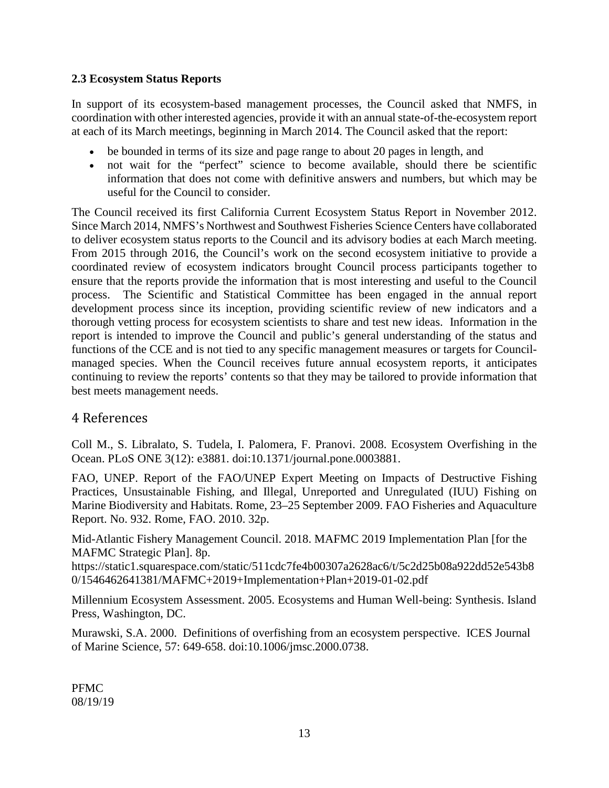#### **2.3 Ecosystem Status Reports**

In support of its ecosystem-based management processes, the Council asked that NMFS, in coordination with other interested agencies, provide it with an annual state-of-the-ecosystem report at each of its March meetings, beginning in March 2014. The Council asked that the report:

- be bounded in terms of its size and page range to about 20 pages in length, and
- not wait for the "perfect" science to become available, should there be scientific information that does not come with definitive answers and numbers, but which may be useful for the Council to consider.

The Council received its first California Current Ecosystem Status Report in November 2012. Since March 2014, NMFS's Northwest and Southwest Fisheries Science Centers have collaborated to deliver ecosystem status reports to the Council and its advisory bodies at each March meeting. From 2015 through 2016, the Council's work on the second ecosystem initiative to provide a coordinated review of ecosystem indicators brought Council process participants together to ensure that the reports provide the information that is most interesting and useful to the Council process. The Scientific and Statistical Committee has been engaged in the annual report development process since its inception, providing scientific review of new indicators and a thorough vetting process for ecosystem scientists to share and test new ideas. Information in the report is intended to improve the Council and public's general understanding of the status and functions of the CCE and is not tied to any specific management measures or targets for Councilmanaged species. When the Council receives future annual ecosystem reports, it anticipates continuing to review the reports' contents so that they may be tailored to provide information that best meets management needs.

### <span id="page-12-0"></span>4 References

Coll M., S. Libralato, S. Tudela, I. Palomera, F. Pranovi. 2008. Ecosystem Overfishing in the Ocean. PLoS ONE 3(12): e3881. doi:10.1371/journal.pone.0003881.

FAO, UNEP. Report of the FAO/UNEP Expert Meeting on Impacts of Destructive Fishing Practices, Unsustainable Fishing, and Illegal, Unreported and Unregulated (IUU) Fishing on Marine Biodiversity and Habitats. Rome, 23–25 September 2009. FAO Fisheries and Aquaculture Report. No. 932. Rome, FAO. 2010. 32p.

Mid-Atlantic Fishery Management Council. 2018. MAFMC 2019 Implementation Plan [for the MAFMC Strategic Plan]. 8p.

https://static1.squarespace.com/static/511cdc7fe4b00307a2628ac6/t/5c2d25b08a922dd52e543b8 0/1546462641381/MAFMC+2019+Implementation+Plan+2019-01-02.pdf

Millennium Ecosystem Assessment. 2005. Ecosystems and Human Well-being: Synthesis. Island Press, Washington, DC.

Murawski, S.A. 2000. Definitions of overfishing from an ecosystem perspective. ICES Journal of Marine Science, 57: 649-658. doi:10.1006/jmsc.2000.0738.

<span id="page-12-1"></span>PFMC 08/19/19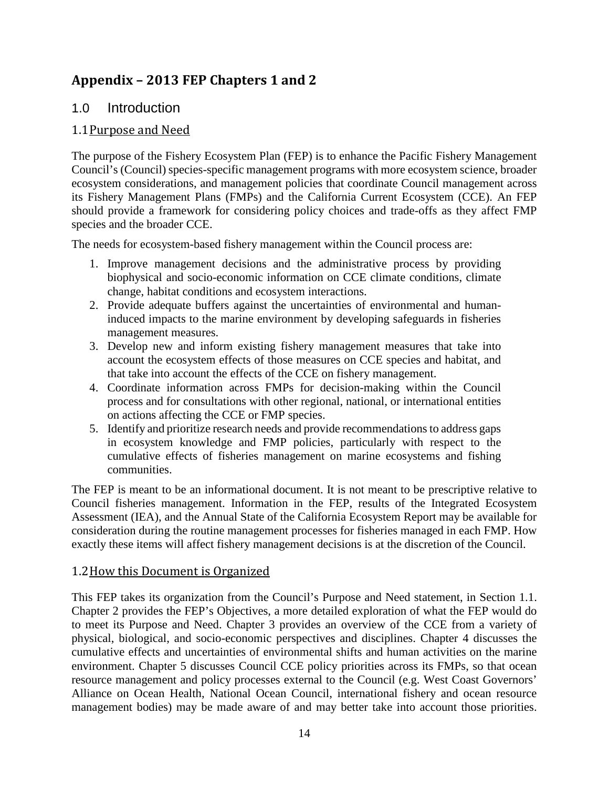# **Appendix – 2013 FEP Chapters 1 and 2**

### 1.0 Introduction

### 1.1Purpose and Need

The purpose of the Fishery Ecosystem Plan (FEP) is to enhance the Pacific Fishery Management Council's (Council) species-specific management programs with more ecosystem science, broader ecosystem considerations, and management policies that coordinate Council management across its Fishery Management Plans (FMPs) and the California Current Ecosystem (CCE). An FEP should provide a framework for considering policy choices and trade-offs as they affect FMP species and the broader CCE.

The needs for ecosystem-based fishery management within the Council process are:

- 1. Improve management decisions and the administrative process by providing biophysical and socio-economic information on CCE climate conditions, climate change, habitat conditions and ecosystem interactions.
- 2. Provide adequate buffers against the uncertainties of environmental and humaninduced impacts to the marine environment by developing safeguards in fisheries management measures.
- 3. Develop new and inform existing fishery management measures that take into account the ecosystem effects of those measures on CCE species and habitat, and that take into account the effects of the CCE on fishery management.
- 4. Coordinate information across FMPs for decision-making within the Council process and for consultations with other regional, national, or international entities on actions affecting the CCE or FMP species.
- 5. Identify and prioritize research needs and provide recommendations to address gaps in ecosystem knowledge and FMP policies, particularly with respect to the cumulative effects of fisheries management on marine ecosystems and fishing communities.

The FEP is meant to be an informational document. It is not meant to be prescriptive relative to Council fisheries management. Information in the FEP, results of the Integrated Ecosystem Assessment (IEA), and the Annual State of the California Ecosystem Report may be available for consideration during the routine management processes for fisheries managed in each FMP. How exactly these items will affect fishery management decisions is at the discretion of the Council.

#### 1.2How this Document is Organized

This FEP takes its organization from the Council's Purpose and Need statement, in Section 1.1. Chapter 2 provides the FEP's Objectives, a more detailed exploration of what the FEP would do to meet its Purpose and Need. Chapter 3 provides an overview of the CCE from a variety of physical, biological, and socio-economic perspectives and disciplines. Chapter 4 discusses the cumulative effects and uncertainties of environmental shifts and human activities on the marine environment. Chapter 5 discusses Council CCE policy priorities across its FMPs, so that ocean resource management and policy processes external to the Council (e.g. West Coast Governors' Alliance on Ocean Health, National Ocean Council, international fishery and ocean resource management bodies) may be made aware of and may better take into account those priorities.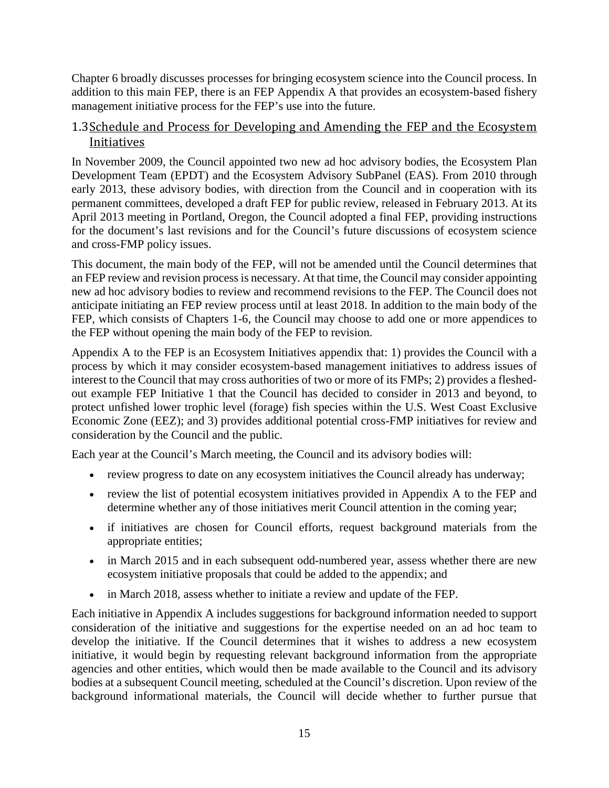Chapter 6 broadly discusses processes for bringing ecosystem science into the Council process. In addition to this main FEP, there is an FEP Appendix A that provides an ecosystem-based fishery management initiative process for the FEP's use into the future.

#### 1.3Schedule and Process for Developing and Amending the FEP and the Ecosystem Initiatives

In November 2009, the Council appointed two new ad hoc advisory bodies, the Ecosystem Plan Development Team (EPDT) and the Ecosystem Advisory SubPanel (EAS). From 2010 through early 2013, these advisory bodies, with direction from the Council and in cooperation with its permanent committees, developed a draft FEP for public review, released in February 2013. At its April 2013 meeting in Portland, Oregon, the Council adopted a final FEP, providing instructions for the document's last revisions and for the Council's future discussions of ecosystem science and cross-FMP policy issues.

This document, the main body of the FEP, will not be amended until the Council determines that an FEP review and revision process is necessary. At that time, the Council may consider appointing new ad hoc advisory bodies to review and recommend revisions to the FEP. The Council does not anticipate initiating an FEP review process until at least 2018. In addition to the main body of the FEP, which consists of Chapters 1-6, the Council may choose to add one or more appendices to the FEP without opening the main body of the FEP to revision.

Appendix A to the FEP is an Ecosystem Initiatives appendix that: 1) provides the Council with a process by which it may consider ecosystem-based management initiatives to address issues of interest to the Council that may cross authorities of two or more of its FMPs; 2) provides a fleshedout example FEP Initiative 1 that the Council has decided to consider in 2013 and beyond, to protect unfished lower trophic level (forage) fish species within the U.S. West Coast Exclusive Economic Zone (EEZ); and 3) provides additional potential cross-FMP initiatives for review and consideration by the Council and the public.

Each year at the Council's March meeting, the Council and its advisory bodies will:

- review progress to date on any ecosystem initiatives the Council already has underway;
- review the list of potential ecosystem initiatives provided in Appendix A to the FEP and determine whether any of those initiatives merit Council attention in the coming year;
- if initiatives are chosen for Council efforts, request background materials from the appropriate entities;
- in March 2015 and in each subsequent odd-numbered year, assess whether there are new ecosystem initiative proposals that could be added to the appendix; and
- in March 2018, assess whether to initiate a review and update of the FEP.

Each initiative in Appendix A includes suggestions for background information needed to support consideration of the initiative and suggestions for the expertise needed on an ad hoc team to develop the initiative. If the Council determines that it wishes to address a new ecosystem initiative, it would begin by requesting relevant background information from the appropriate agencies and other entities, which would then be made available to the Council and its advisory bodies at a subsequent Council meeting, scheduled at the Council's discretion. Upon review of the background informational materials, the Council will decide whether to further pursue that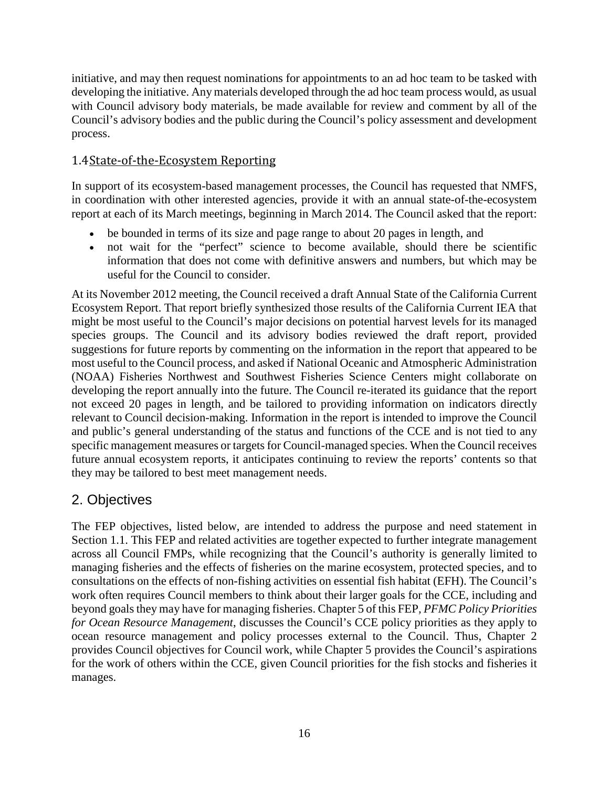initiative, and may then request nominations for appointments to an ad hoc team to be tasked with developing the initiative. Any materials developed through the ad hoc team process would, as usual with Council advisory body materials, be made available for review and comment by all of the Council's advisory bodies and the public during the Council's policy assessment and development process.

### 1.4State-of-the-Ecosystem Reporting

In support of its ecosystem-based management processes, the Council has requested that NMFS, in coordination with other interested agencies, provide it with an annual state-of-the-ecosystem report at each of its March meetings, beginning in March 2014. The Council asked that the report:

- be bounded in terms of its size and page range to about 20 pages in length, and
- not wait for the "perfect" science to become available, should there be scientific information that does not come with definitive answers and numbers, but which may be useful for the Council to consider.

At its November 2012 meeting, the Council received a draft Annual State of the California Current Ecosystem Report. That report briefly synthesized those results of the California Current IEA that might be most useful to the Council's major decisions on potential harvest levels for its managed species groups. The Council and its advisory bodies reviewed the draft report, provided suggestions for future reports by commenting on the information in the report that appeared to be most useful to the Council process, and asked if National Oceanic and Atmospheric Administration (NOAA) Fisheries Northwest and Southwest Fisheries Science Centers might collaborate on developing the report annually into the future. The Council re-iterated its guidance that the report not exceed 20 pages in length, and be tailored to providing information on indicators directly relevant to Council decision-making. Information in the report is intended to improve the Council and public's general understanding of the status and functions of the CCE and is not tied to any specific management measures or targets for Council-managed species. When the Council receives future annual ecosystem reports, it anticipates continuing to review the reports' contents so that they may be tailored to best meet management needs.

# 2. Objectives

The FEP objectives, listed below, are intended to address the purpose and need statement in Section 1.1. This FEP and related activities are together expected to further integrate management across all Council FMPs, while recognizing that the Council's authority is generally limited to managing fisheries and the effects of fisheries on the marine ecosystem, protected species, and to consultations on the effects of non-fishing activities on essential fish habitat (EFH). The Council's work often requires Council members to think about their larger goals for the CCE, including and beyond goals they may have for managing fisheries. Chapter 5 of this FEP*, PFMC Policy Priorities for Ocean Resource Management*, discusses the Council's CCE policy priorities as they apply to ocean resource management and policy processes external to the Council. Thus, Chapter 2 provides Council objectives for Council work, while Chapter 5 provides the Council's aspirations for the work of others within the CCE, given Council priorities for the fish stocks and fisheries it manages.